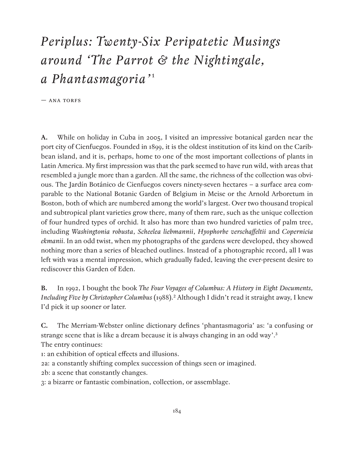## *Periplus: Twenty-Six Peripatetic Musings around 'The Parrot & the Nightingale, a Phantasmagoria'*<sup>1</sup>

 $-$  ANA TORFS

**A.** While on holiday in Cuba in 2005, I visited an impressive botanical garden near the port city of Cienfuegos. Founded in 1899, it is the oldest institution of its kind on the Caribbean island, and it is, perhaps, home to one of the most important collections of plants in Latin America. My first impression was that the park seemed to have run wild, with areas that resembled a jungle more than a garden. All the same, the richness of the collection was obvious. The Jardín Botánico de Cienfuegos covers ninety-seven hectares – a surface area comparable to the National Botanic Garden of Belgium in Meise or the Arnold Arboretum in Boston, both of which are numbered among the world's largest. Over two thousand tropical and subtropical plant varieties grow there, many of them rare, such as the unique collection of four hundred types of orchid. It also has more than two hundred varieties of palm tree, including *Washingtonia robusta*, *Scheelea liebmannii*, *Hyophorbe verschaffeltii* and *Copernicia ekmanii*. In an odd twist, when my photographs of the gardens were developed, they showed nothing more than a series of bleached outlines. Instead of a photographic record, all I was left with was a mental impression, which gradually faded, leaving the ever-present desire to rediscover this Garden of Eden.

**B.** In 1992, I bought the book *The Four Voyages of Columbus: A History in Eight Documents, Including Five by Christopher Columbus* (1988).2 Although I didn't read it straight away, I knew I'd pick it up sooner or later.

**C.** The Merriam-Webster online dictionary defines 'phantasmagoria' as: 'a confusing or strange scene that is like a dream because it is always changing in an odd way'.3 The entry continues:

1: an exhibition of optical effects and illusions.

2a: a constantly shifting complex succession of things seen or imagined.

2b: a scene that constantly changes.

3: a bizarre or fantastic combination, collection, or assemblage.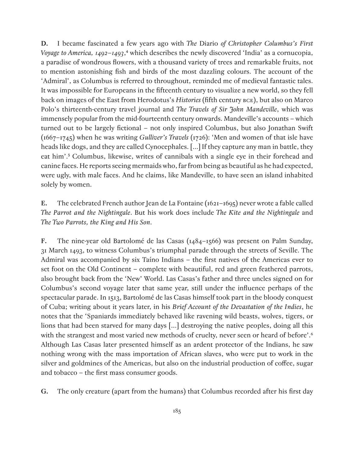**D.** I became fascinated a few years ago with *The* Diario *of Christopher Columbus's First Voyage to America, 1492–1493*,<sup>4</sup> which describes the newly discovered 'India' as a cornucopia, a paradise of wondrous flowers, with a thousand variety of trees and remarkable fruits, not to mention astonishing fish and birds of the most dazzling colours. The account of the 'Admiral', as Columbus is referred to throughout, reminded me of medieval fantastic tales. It was impossible for Europeans in the fifteenth century to visualize a new world, so they fell back on images of the East from Herodotus's *Histories* (fifth century BCE), but also on Marco Polo's thirteenth-century travel journal and *The Travels of Sir John Mandeville*, which was immensely popular from the mid-fourteenth century onwards. Mandeville's accounts – which turned out to be largely fictional – not only inspired Columbus, but also Jonathan Swift (1667–1745) when he was writing *Gulliver's Travels* (1726): 'Men and women of that isle have heads like dogs, and they are called Cynocephales. [...] If they capture any man in battle, they eat him'.5 Columbus, likewise, writes of cannibals with a single eye in their forehead and canine faces. He reports seeing mermaids who, far from being as beautiful as he had expected, were ugly, with male faces. And he claims, like Mandeville, to have seen an island inhabited solely by women.

**E.** The celebrated French author Jean de La Fontaine (1621–1695) never wrote a fable called *The Parrot and the Nightingale*. But his work does include *The Kite and the Nightingale* and *The Two Parrots, the King and His Son*.

**F.** The nine-year old Bartolomé de las Casas (1484–1566) was present on Palm Sunday, 31 March 1493, to witness Columbus's triumphal parade through the streets of Seville. The Admiral was accompanied by six Taíno Indians – the first natives of the Americas ever to set foot on the Old Continent – complete with beautiful, red and green feathered parrots, also brought back from the 'New' World. Las Casas's father and three uncles signed on for Columbus's second voyage later that same year, still under the influence perhaps of the spectacular parade. In 1513, Bartolomé de las Casas himself took part in the bloody conquest of Cuba; writing about it years later, in his *Brief Account of the Devastation of the Indies*, he notes that the 'Spaniards immediately behaved like ravening wild beasts, wolves, tigers, or lions that had been starved for many days […] destroying the native peoples, doing all this with the strangest and most varied new methods of cruelty, never seen or heard of before'.<sup>6</sup> Although Las Casas later presented himself as an ardent protector of the Indians, he saw nothing wrong with the mass importation of African slaves, who were put to work in the silver and goldmines of the Americas, but also on the industrial production of coffee, sugar and tobacco – the first mass consumer goods.

**G.** The only creature (apart from the humans) that Columbus recorded after his first day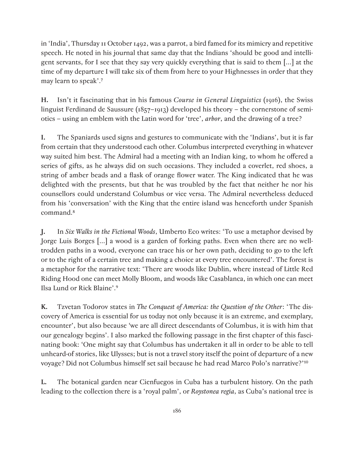in 'India', Thursday 11 October 1492, was a parrot, a bird famed for its mimicry and repetitive speech. He noted in his journal that same day that the Indians 'should be good and intelligent servants, for I see that they say very quickly everything that is said to them […] at the time of my departure I will take six of them from here to your Highnesses in order that they may learn to speak'.7

**H.** Isn't it fascinating that in his famous *Course in General Linguistics* (1916), the Swiss linguist Ferdinand de Saussure (1857–1913) developed his theory – the cornerstone of semiotics – using an emblem with the Latin word for 'tree', *arbor*, and the drawing of a tree?

**I.** The Spaniards used signs and gestures to communicate with the 'Indians', but it is far from certain that they understood each other. Columbus interpreted everything in whatever way suited him best. The Admiral had a meeting with an Indian king, to whom he offered a series of gifts, as he always did on such occasions. They included a coverlet, red shoes, a string of amber beads and a flask of orange flower water. The King indicated that he was delighted with the presents, but that he was troubled by the fact that neither he nor his counsellors could understand Columbus or vice versa. The Admiral nevertheless deduced from his 'conversation' with the King that the entire island was henceforth under Spanish command.8

**J.** In *Six Walks in the Fictional Woods*, Umberto Eco writes: 'To use a metaphor devised by Jorge Luis Borges […] a wood is a garden of forking paths. Even when there are no welltrodden paths in a wood, everyone can trace his or her own path, deciding to go to the left or to the right of a certain tree and making a choice at every tree encountered'. The forest is a metaphor for the narrative text: 'There are woods like Dublin, where instead of Little Red Riding Hood one can meet Molly Bloom, and woods like Casablanca, in which one can meet Ilsa Lund or Rick Blaine'.9

**K.** Tzvetan Todorov states in *The Conquest of America: the Question of the Other*: 'The discovery of America is essential for us today not only because it is an extreme, and exemplary, encounter', but also because 'we are all direct descendants of Columbus, it is with him that our genealogy begins'. I also marked the following passage in the first chapter of this fascinating book: 'One might say that Columbus has undertaken it all in order to be able to tell unheard-of stories, like Ulysses; but is not a travel story itself the point of departure of a new voyage? Did not Columbus himself set sail because he had read Marco Polo's narrative?'10

**L.** The botanical garden near Cienfuegos in Cuba has a turbulent history. On the path leading to the collection there is a 'royal palm', or *Roystonea regia*, as Cuba's national tree is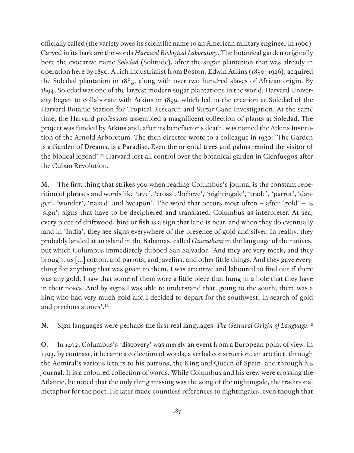officially called (the variety owes its scientific name to an American military engineer in 1900). Carved in its bark are the words *Harvard Biological Laboratory*. The botanical garden originally bore the evocative name *Soledad* (Solitude), after the sugar plantation that was already in operation here by 1850. A rich industrialist from Boston, Edwin Atkins (1850–1926), acquired the Soledad plantation in 1883, along with over two hundred slaves of African origin. By 1894, Soledad was one of the largest modern sugar plantations in the world. Harvard University began to collaborate with Atkins in 1899, which led to the creation at Soledad of the Harvard Botanic Station for Tropical Research and Sugar Cane Investigation. At the same time, the Harvard professors assembled a magnificent collection of plants at Soledad. The project was funded by Atkins and, after its benefactor's death, was named the Atkins Institution of the Arnold Arboretum. The then director wrote to a colleague in 1930: 'The Garden is a Garden of Dreams, is a Paradise. Even the oriental trees and palms remind the visitor of the biblical legend'.11 Harvard lost all control over the botanical garden in Cienfuegos after the Cuban Revolution.

**M.** The first thing that strikes you when reading Columbus's journal is the constant repetition of phrases and words like 'tree', 'cross', 'believe', 'nightingale', 'trade', 'parrot', 'danger', 'wonder', 'naked' and 'weapon'. The word that occurs most often – after 'gold' – is 'sign': signs that have to be deciphered and translated. Columbus as interpreter. At sea, every piece of driftwood, bird or fish is a sign that land is near, and when they do eventually land in 'India', they see signs everywhere of the presence of gold and silver. In reality, they probably landed at an island in the Bahamas, called *Guanahani* in the language of the natives, but which Columbus immediately dubbed San Salvador. 'And they are very meek, and they brought us […] cotton, and parrots, and javelins, and other little things. And they gave everything for anything that was given to them. I was attentive and laboured to find out if there was any gold. I saw that some of them wore a little piece that hung in a hole that they have in their noses. And by signs I was able to understand that, going to the south, there was a king who had very much gold and I decided to depart for the southwest, in search of gold and precious stones'.12

**N.** Sign languages were perhaps the first real languages: *The Gestural Origin of Language*. 13

**O.** In 1492, Columbus's 'discovery' was merely an event from a European point of view. In 1493, by contrast, it became a collection of words, a verbal construction, an artefact, through the Admiral's various letters to his patrons, the King and Queen of Spain, and through his journal. It is a coloured collection of words. While Columbus and his crew were crossing the Atlantic, he noted that the only thing missing was the song of the nightingale, the traditional metaphor for the poet. He later made countless references to nightingales, even though that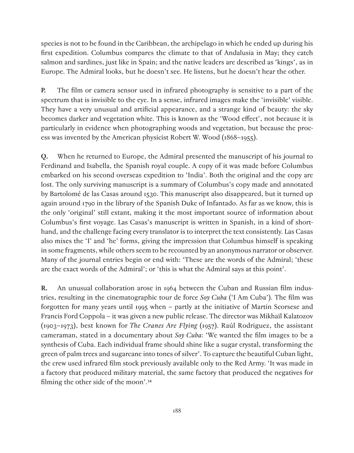species is not to be found in the Caribbean, the archipelago in which he ended up during his first expedition. Columbus compares the climate to that of Andalusia in May; they catch salmon and sardines, just like in Spain; and the native leaders are described as 'kings', as in Europe. The Admiral looks, but he doesn't see. He listens, but he doesn't hear the other.

**P.** The film or camera sensor used in infrared photography is sensitive to a part of the spectrum that is invisible to the eye. In a sense, infrared images make the 'invisible' visible. They have a very unusual and artificial appearance, and a strange kind of beauty: the sky becomes darker and vegetation white. This is known as the 'Wood effect', not because it is particularly in evidence when photographing woods and vegetation, but because the process was invented by the American physicist Robert W. Wood (1868–1955).

**Q.** When he returned to Europe, the Admiral presented the manuscript of his journal to Ferdinand and Isabella, the Spanish royal couple. A copy of it was made before Columbus embarked on his second overseas expedition to 'India'. Both the original and the copy are lost. The only surviving manuscript is a summary of Columbus's copy made and annotated by Bartolomé de las Casas around 1530. This manuscript also disappeared, but it turned up again around 1790 in the library of the Spanish Duke of Infantado. As far as we know, this is the only 'original' still extant, making it the most important source of information about Columbus's first voyage. Las Casas's manuscript is written in Spanish, in a kind of shorthand, and the challenge facing every translator is to interpret the text consistently. Las Casas also mixes the 'I' and 'he' forms, giving the impression that Columbus himself is speaking in some fragments, while others seem to be recounted by an anonymous narrator or observer. Many of the journal entries begin or end with: 'These are the words of the Admiral; 'these are the exact words of the Admiral'; or 'this is what the Admiral says at this point'.

**R.** An unusual collaboration arose in 1964 between the Cuban and Russian film industries, resulting in the cinematographic tour de force *Soy Cuba* ('I Am Cuba'). The film was forgotten for many years until 1995 when – partly at the initiative of Martin Scorsese and Francis Ford Coppola – it was given a new public release. The director was Mikhaïl Kalatozov (1903–1973), best known for *The Cranes Are Flying* (1957). Raúl Rodriguez, the assistant cameraman, stated in a documentary about *Soy Cuba*: 'We wanted the film images to be a synthesis of Cuba. Each individual frame should shine like a sugar crystal, transforming the green of palm trees and sugarcane into tones of silver'. To capture the beautiful Cuban light, the crew used infrared film stock previously available only to the Red Army. 'It was made in a factory that produced military material, the same factory that produced the negatives for filming the other side of the moon'.14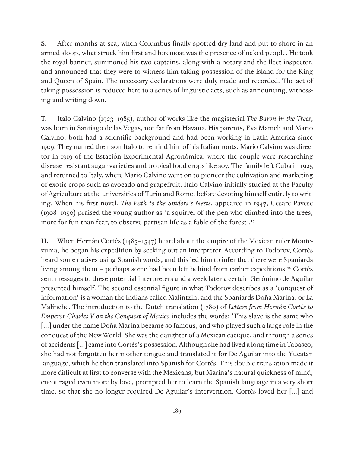**S.** After months at sea, when Columbus finally spotted dry land and put to shore in an armed sloop, what struck him first and foremost was the presence of naked people. He took the royal banner, summoned his two captains, along with a notary and the fleet inspector, and announced that they were to witness him taking possession of the island for the King and Queen of Spain. The necessary declarations were duly made and recorded. The act of taking possession is reduced here to a series of linguistic acts, such as announcing, witnessing and writing down.

**T.** Italo Calvino (1923–1985), author of works like the magisterial *The Baron in the Trees*, was born in Santiago de las Vegas, not far from Havana. His parents, Eva Mameli and Mario Calvino, both had a scientific background and had been working in Latin America since 1909. They named their son Italo to remind him of his Italian roots. Mario Calvino was director in 1919 of the Estación Experimental Agronómica, where the couple were researching disease-resistant sugar varieties and tropical food crops like soy. The family left Cuba in 1925 and returned to Italy, where Mario Calvino went on to pioneer the cultivation and marketing of exotic crops such as avocado and grapefruit. Italo Calvino initially studied at the Faculty of Agriculture at the universities of Turin and Rome, before devoting himself entirely to writing. When his first novel, *The Path to the Spiders's Nests*, appeared in 1947, Cesare Pavese (1908–1950) praised the young author as 'a squirrel of the pen who climbed into the trees, more for fun than fear, to observe partisan life as a fable of the forest'.15

**U.** When Hernán Cortés (1485–1547) heard about the empire of the Mexican ruler Montezuma, he began his expedition by seeking out an interpreter. According to Todorov, Cortés heard some natives using Spanish words, and this led him to infer that there were Spaniards living among them – perhaps some had been left behind from earlier expeditions.<sup>16</sup> Cortés sent messages to these potential interpreters and a week later a certain Gerónimo de Aguilar presented himself. The second essential figure in what Todorov describes as a 'conquest of information' is a woman the Indians called Malintzin, and the Spaniards Doña Marina, or La Malinche. The introduction to the Dutch translation (1780) of *Letters from Hernán Cortés to Emperor Charles V on the Conquest of Mexico* includes the words: 'This slave is the same who [...] under the name Doña Marina became so famous, and who played such a large role in the conquest of the New World. She was the daughter of a Mexican cacique, and through a series of accidents […] came into Cortés's possession. Although she had lived a long time in Tabasco, she had not forgotten her mother tongue and translated it for De Aguilar into the Yucatan language, which he then translated into Spanish for Cortés. This double translation made it more difficult at first to converse with the Mexicans, but Marina's natural quickness of mind, encouraged even more by love, prompted her to learn the Spanish language in a very short time, so that she no longer required De Aguilar's intervention. Cortés loved her […] and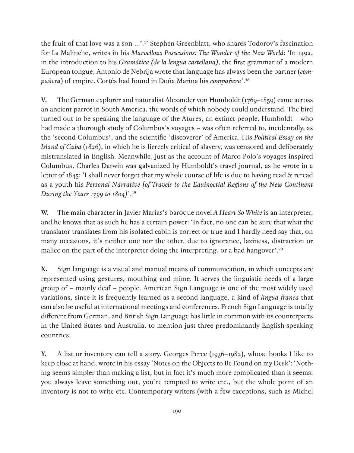the fruit of that love was a son …'.17 Stephen Greenblatt, who shares Todorov's fascination for La Malinche, writes in his *Marvellous Possessions: The Wonder of the New World*: 'In 1492, in the introduction to his *Gramática (de la lengua castellana)*, the first grammar of a modern European tongue, Antonio de Nebrija wrote that language has always been the partner (*compañera*) of empire. Cortés had found in Doña Marina his *compañera*'.18

**V.** The German explorer and naturalist Alexander von Humboldt (1769–1859) came across an ancient parrot in South America, the words of which nobody could understand. The bird turned out to be speaking the language of the Atures, an extinct people. Humboldt – who had made a thorough study of Columbus's voyages – was often referred to, incidentally, as the 'second Columbus', and the scientific 'discoverer' of America. His *Political Essay on the Island of Cuba* (1826), in which he is fiercely critical of slavery, was censored and deliberately mistranslated in English. Meanwhile, just as the account of Marco Polo's voyages inspired Columbus, Charles Darwin was galvanized by Humboldt's travel journal, as he wrote in a letter of 1845: 'I shall never forget that my whole course of life is due to having read & reread as a youth his *Personal Narrative [of Travels to the Equinoctial Regions of the New Continent During the Years 1799 to 1804]*'.19

**W.** The main character in Javier Marías's baroque novel *A Heart So White* is an interpreter, and he knows that as such he has a certain power: 'In fact, no one can be sure that what the translator translates from his isolated cabin is correct or true and I hardly need say that, on many occasions, it's neither one nor the other, due to ignorance, laziness, distraction or malice on the part of the interpreter doing the interpreting, or a bad hangover'.20

**X.** Sign language is a visual and manual means of communication, in which concepts are represented using gestures, mouthing and mime. It serves the linguistic needs of a large group of – mainly deaf – people. American Sign Language is one of the most widely used variations, since it is frequently learned as a second language, a kind of *lingua franca* that can also be useful at international meetings and conferences. French Sign Language is totally different from German, and British Sign Language has little in common with its counterparts in the United States and Australia, to mention just three predominantly English-speaking countries.

**Y.** A list or inventory can tell a story. Georges Perec (1936–1982), whose books I like to keep close at hand, wrote in his essay 'Notes on the Objects to Be Found on my Desk': 'Nothing seems simpler than making a list, but in fact it's much more complicated than it seems: you always leave something out, you're tempted to write etc., but the whole point of an inventory is not to write etc. Contemporary writers (with a few exceptions, such as Michel